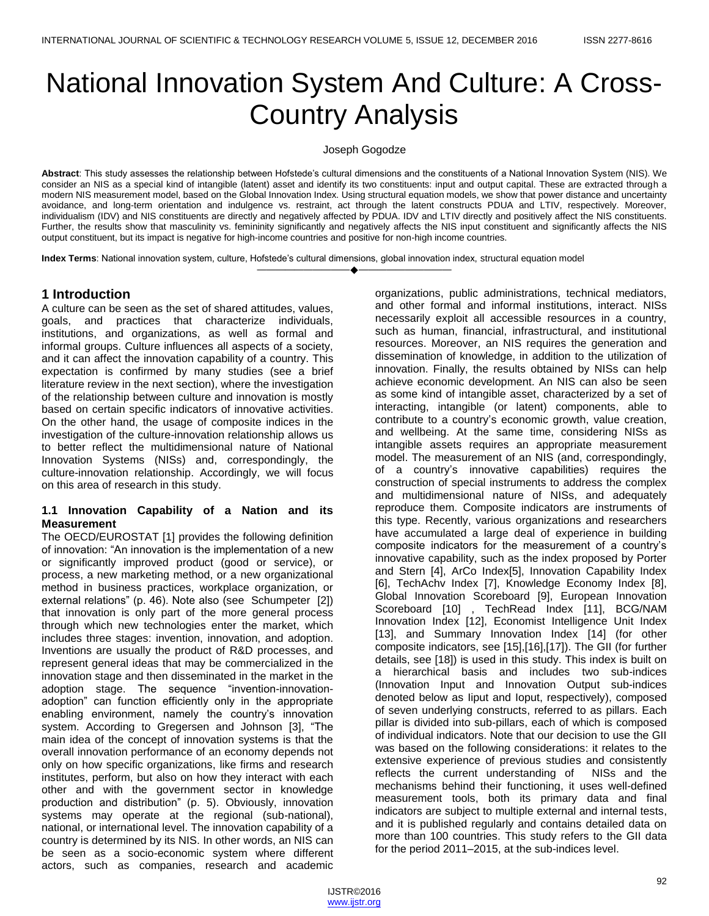# National Innovation System And Culture: A Cross-Country Analysis

Joseph Gogodze

**Abstract**: This study assesses the relationship between Hofstede's cultural dimensions and the constituents of a National Innovation System (NIS). We consider an NIS as a special kind of intangible (latent) asset and identify its two constituents: input and output capital. These are extracted through a modern NIS measurement model, based on the Global Innovation Index. Using structural equation models, we show that power distance and uncertainty avoidance, and long-term orientation and indulgence vs. restraint, act through the latent constructs PDUA and LTIV, respectively. Moreover, individualism (IDV) and NIS constituents are directly and negatively affected by PDUA. IDV and LTIV directly and positively affect the NIS constituents. Further, the results show that masculinity vs. femininity significantly and negatively affects the NIS input constituent and significantly affects the NIS output constituent, but its impact is negative for high-income countries and positive for non-high income countries.

————————————————————

**Index Terms**: National innovation system, culture, Hofstede's cultural dimensions, global innovation index, structural equation model

## **1 Introduction**

A culture can be seen as the set of shared attitudes, values, goals, and practices that characterize individuals, institutions, and organizations, as well as formal and informal groups. Culture influences all aspects of a society, and it can affect the innovation capability of a country. This expectation is confirmed by many studies (see a brief literature review in the next section), where the investigation of the relationship between culture and innovation is mostly based on certain specific indicators of innovative activities. On the other hand, the usage of composite indices in the investigation of the culture-innovation relationship allows us to better reflect the multidimensional nature of National Innovation Systems (NISs) and, correspondingly, the culture-innovation relationship. Accordingly, we will focus on this area of research in this study.

#### **1.1 Innovation Capability of a Nation and its Measurement**

The OECD/EUROSTAT [1] provides the following definition of innovation: "An innovation is the implementation of a new or significantly improved product (good or service), or process, a new marketing method, or a new organizational method in business practices, workplace organization, or external relations" (p. 46). Note also (see Schumpeter [2]) that innovation is only part of the more general process through which new technologies enter the market, which includes three stages: invention, innovation, and adoption. Inventions are usually the product of R&D processes, and represent general ideas that may be commercialized in the innovation stage and then disseminated in the market in the adoption stage. The sequence "invention-innovationadoption" can function efficiently only in the appropriate enabling environment, namely the country's innovation system. According to Gregersen and Johnson [3], "The main idea of the concept of innovation systems is that the overall innovation performance of an economy depends not only on how specific organizations, like firms and research institutes, perform, but also on how they interact with each other and with the government sector in knowledge production and distribution" (p. 5). Obviously, innovation systems may operate at the regional (sub-national), national, or international level. The innovation capability of a country is determined by its NIS. In other words, an NIS can be seen as a socio-economic system where different actors, such as companies, research and academic

organizations, public administrations, technical mediators, and other formal and informal institutions, interact. NISs necessarily exploit all accessible resources in a country, such as human, financial, infrastructural, and institutional resources. Moreover, an NIS requires the generation and dissemination of knowledge, in addition to the utilization of innovation. Finally, the results obtained by NISs can help achieve economic development. An NIS can also be seen as some kind of intangible asset, characterized by a set of interacting, intangible (or latent) components, able to contribute to a country's economic growth, value creation, and wellbeing. At the same time, considering NISs as intangible assets requires an appropriate measurement model. The measurement of an NIS (and, correspondingly, of a country's innovative capabilities) requires the construction of special instruments to address the complex and multidimensional nature of NISs, and adequately reproduce them. Composite indicators are instruments of this type. Recently, various organizations and researchers have accumulated a large deal of experience in building composite indicators for the measurement of a country's innovative capability, such as the index proposed by Porter and Stern [4], ArCo Index[5], Innovation Capability Index [6], TechAchv Index [7], Knowledge Economy Index [8], Global Innovation Scoreboard [9], European Innovation Scoreboard [10] , TechRead Index [11], BCG/NAM Innovation Index [12], Economist Intelligence Unit Index [13], and Summary Innovation Index [14] (for other composite indicators, see [15],[16],[17]). The GII (for further details, see [18]) is used in this study. This index is built on a hierarchical basis and includes two sub-indices (Innovation Input and Innovation Output sub-indices denoted below as Iiput and Ioput, respectively), composed of seven underlying constructs, referred to as pillars. Each pillar is divided into sub-pillars, each of which is composed of individual indicators. Note that our decision to use the GII was based on the following considerations: it relates to the extensive experience of previous studies and consistently reflects the current understanding of NISs and the mechanisms behind their functioning, it uses well-defined measurement tools, both its primary data and final indicators are subject to multiple external and internal tests, and it is published regularly and contains detailed data on more than 100 countries. This study refers to the GII data for the period 2011–2015, at the sub-indices level.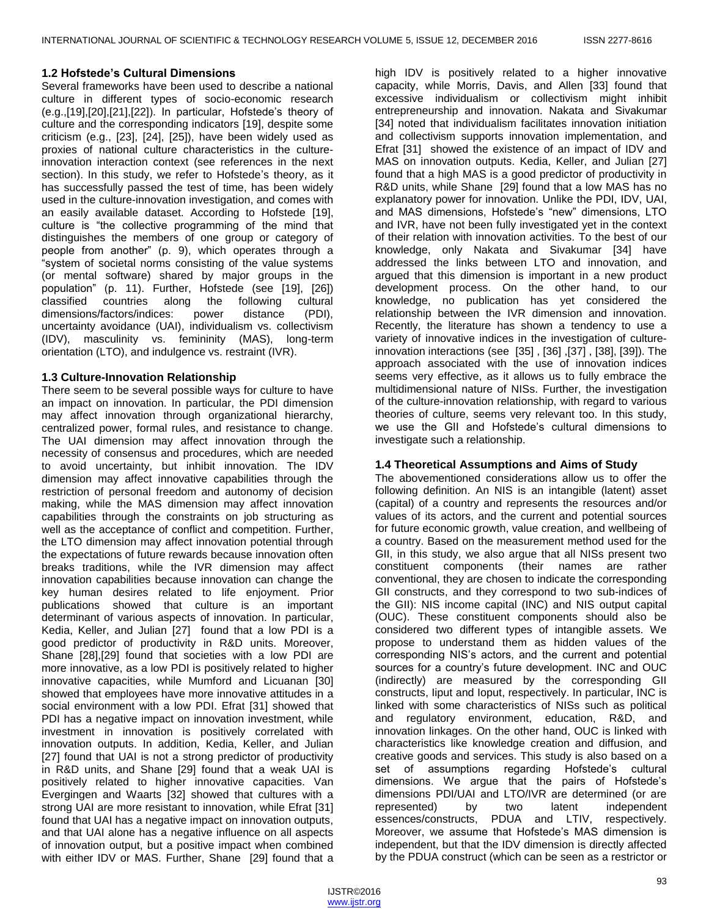#### **1.2 Hofstede's Cultural Dimensions**

Several frameworks have been used to describe a national culture in different types of socio-economic research (e.g.,[19],[20],[21],[22]). In particular, Hofstede's theory of culture and the corresponding indicators [19], despite some criticism (e.g., [23], [24], [25]), have been widely used as proxies of national culture characteristics in the cultureinnovation interaction context (see references in the next section). In this study, we refer to Hofstede's theory, as it has successfully passed the test of time, has been widely used in the culture-innovation investigation, and comes with an easily available dataset. According to Hofstede [19], culture is "the collective programming of the mind that distinguishes the members of one group or category of people from another" (p. 9), which operates through a "system of societal norms consisting of the value systems (or mental software) shared by major groups in the population‖ (p. 11). Further, Hofstede (see [19], [26]) classified countries along the following cultural dimensions/factors/indices: power distance (PDI), uncertainty avoidance (UAI), individualism vs. collectivism (IDV), masculinity vs. femininity (MAS), long-term orientation (LTO), and indulgence vs. restraint (IVR).

#### **1.3 Culture-Innovation Relationship**

There seem to be several possible ways for culture to have an impact on innovation. In particular, the PDI dimension may affect innovation through organizational hierarchy, centralized power, formal rules, and resistance to change. The UAI dimension may affect innovation through the necessity of consensus and procedures, which are needed to avoid uncertainty, but inhibit innovation. The IDV dimension may affect innovative capabilities through the restriction of personal freedom and autonomy of decision making, while the MAS dimension may affect innovation capabilities through the constraints on job structuring as well as the acceptance of conflict and competition. Further, the LTO dimension may affect innovation potential through the expectations of future rewards because innovation often breaks traditions, while the IVR dimension may affect innovation capabilities because innovation can change the key human desires related to life enjoyment. Prior publications showed that culture is an important determinant of various aspects of innovation. In particular, Kedia, Keller, and Julian [27] found that a low PDI is a good predictor of productivity in R&D units. Moreover, Shane [28],[29] found that societies with a low PDI are more innovative, as a low PDI is positively related to higher innovative capacities, while Mumford and Licuanan [30] showed that employees have more innovative attitudes in a social environment with a low PDI. Efrat [31] showed that PDI has a negative impact on innovation investment, while investment in innovation is positively correlated with innovation outputs. In addition, Kedia, Keller, and Julian [27] found that UAI is not a strong predictor of productivity in R&D units, and Shane [29] found that a weak UAI is positively related to higher innovative capacities. Van Evergingen and Waarts [32] showed that cultures with a strong UAI are more resistant to innovation, while Efrat [31] found that UAI has a negative impact on innovation outputs, and that UAI alone has a negative influence on all aspects of innovation output, but a positive impact when combined with either IDV or MAS. Further, Shane [29] found that a

high IDV is positively related to a higher innovative capacity, while Morris, Davis, and Allen [33] found that excessive individualism or collectivism might inhibit entrepreneurship and innovation. Nakata and Sivakumar [34] noted that individualism facilitates innovation initiation and collectivism supports innovation implementation, and Efrat [31] showed the existence of an impact of IDV and MAS on innovation outputs. Kedia, Keller, and Julian [27] found that a high MAS is a good predictor of productivity in R&D units, while Shane [29] found that a low MAS has no explanatory power for innovation. Unlike the PDI, IDV, UAI, and MAS dimensions, Hofstede's "new" dimensions, LTO and IVR, have not been fully investigated yet in the context of their relation with innovation activities. To the best of our knowledge, only Nakata and Sivakumar [34] have addressed the links between LTO and innovation, and argued that this dimension is important in a new product development process. On the other hand, to our knowledge, no publication has yet considered the relationship between the IVR dimension and innovation. Recently, the literature has shown a tendency to use a variety of innovative indices in the investigation of cultureinnovation interactions (see [35] , [36] ,[37] , [38], [39]). The approach associated with the use of innovation indices seems very effective, as it allows us to fully embrace the multidimensional nature of NISs. Further, the investigation of the culture-innovation relationship, with regard to various theories of culture, seems very relevant too. In this study, we use the GII and Hofstede's cultural dimensions to investigate such a relationship.

## **1.4 Theoretical Assumptions and Aims of Study**

The abovementioned considerations allow us to offer the following definition. An NIS is an intangible (latent) asset (capital) of a country and represents the resources and/or values of its actors, and the current and potential sources for future economic growth, value creation, and wellbeing of a country. Based on the measurement method used for the GII, in this study, we also argue that all NISs present two constituent components (their names are rather conventional, they are chosen to indicate the corresponding GII constructs, and they correspond to two sub-indices of the GII): NIS income capital (INC) and NIS output capital (OUC). These constituent components should also be considered two different types of intangible assets. We propose to understand them as hidden values of the corresponding NIS's actors, and the current and potential sources for a country's future development. INC and OUC (indirectly) are measured by the corresponding GII constructs, Iiput and Ioput, respectively. In particular, INC is linked with some characteristics of NISs such as political and regulatory environment, education, R&D, and innovation linkages. On the other hand, OUC is linked with characteristics like knowledge creation and diffusion, and creative goods and services. This study is also based on a set of assumptions regarding Hofstede's cultural dimensions. We argue that the pairs of Hofstede's dimensions PDI/UAI and LTO/IVR are determined (or are represented) by two latent independent essences/constructs, PDUA and LTIV, respectively. Moreover, we assume that Hofstede's MAS dimension is independent, but that the IDV dimension is directly affected by the PDUA construct (which can be seen as a restrictor or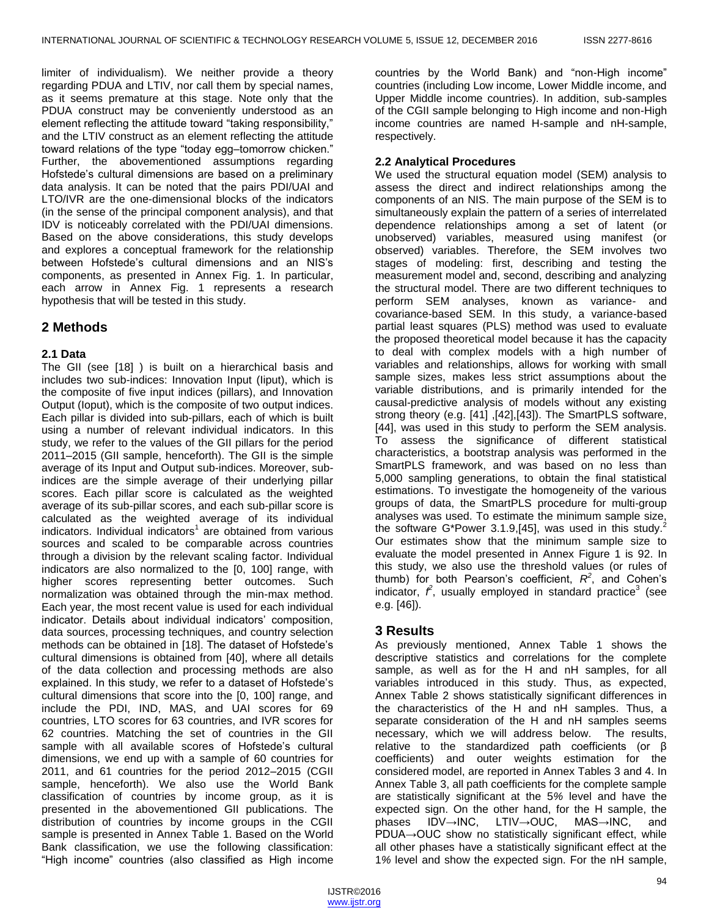limiter of individualism). We neither provide a theory regarding PDUA and LTIV, nor call them by special names, as it seems premature at this stage. Note only that the PDUA construct may be conveniently understood as an element reflecting the attitude toward "taking responsibility," and the LTIV construct as an element reflecting the attitude toward relations of the type "today egg-tomorrow chicken." Further, the abovementioned assumptions regarding Hofstede's cultural dimensions are based on a preliminary data analysis. It can be noted that the pairs PDI/UAI and LTO/IVR are the one-dimensional blocks of the indicators (in the sense of the principal component analysis), and that IDV is noticeably correlated with the PDI/UAI dimensions. Based on the above considerations, this study develops and explores a conceptual framework for the relationship between Hofstede's cultural dimensions and an NIS's components, as presented in Annex Fig. 1. In particular, each arrow in Annex Fig. 1 represents a research hypothesis that will be tested in this study.

# **2 Methods**

## **2.1 Data**

The GII (see [18] ) is built on a hierarchical basis and includes two sub-indices: Innovation Input (Iiput), which is the composite of five input indices (pillars), and Innovation Output (Ioput), which is the composite of two output indices. Each pillar is divided into sub-pillars, each of which is built using a number of relevant individual indicators. In this study, we refer to the values of the GII pillars for the period 2011–2015 (GII sample, henceforth). The GII is the simple average of its Input and Output sub-indices. Moreover, subindices are the simple average of their underlying pillar scores. Each pillar score is calculated as the weighted average of its sub-pillar scores, and each sub-pillar score is calculated as the weighted average of its individual indicators. Individual indicators<sup>1</sup> are obtained from various sources and scaled to be comparable across countries through a division by the relevant scaling factor. Individual indicators are also normalized to the [0, 100] range, with higher scores representing better outcomes. Such normalization was obtained through the min-max method. Each year, the most recent value is used for each individual indicator. Details about individual indicators' composition, data sources, processing techniques, and country selection methods can be obtained in [18]. The dataset of Hofstede's cultural dimensions is obtained from [40], where all details of the data collection and processing methods are also explained. In this study, we refer to a dataset of Hofstede's cultural dimensions that score into the [0, 100] range, and include the PDI, IND, MAS, and UAI scores for 69 countries, LTO scores for 63 countries, and IVR scores for 62 countries. Matching the set of countries in the GII sample with all available scores of Hofstede's cultural dimensions, we end up with a sample of 60 countries for 2011, and 61 countries for the period 2012–2015 (CGII sample, henceforth). We also use the World Bank classification of countries by income group, as it is presented in the abovementioned GII publications. The distribution of countries by income groups in the CGII sample is presented in Annex Table 1. Based on the World Bank classification, we use the following classification: "High income" countries (also classified as High income

countries by the World Bank) and "non-High income" countries (including Low income, Lower Middle income, and Upper Middle income countries). In addition, sub-samples of the CGII sample belonging to High income and non-High income countries are named H-sample and nH-sample, respectively.

## **2.2 Analytical Procedures**

We used the structural equation model (SEM) analysis to assess the direct and indirect relationships among the components of an NIS. The main purpose of the SEM is to simultaneously explain the pattern of a series of interrelated dependence relationships among a set of latent (or unobserved) variables, measured using manifest (or observed) variables. Therefore, the SEM involves two stages of modeling: first, describing and testing the measurement model and, second, describing and analyzing the structural model. There are two different techniques to perform SEM analyses, known as variance- and covariance-based SEM. In this study, a variance-based partial least squares (PLS) method was used to evaluate the proposed theoretical model because it has the capacity to deal with complex models with a high number of variables and relationships, allows for working with small sample sizes, makes less strict assumptions about the variable distributions, and is primarily intended for the causal-predictive analysis of models without any existing strong theory (e.g. [41] ,[42],[43]). The SmartPLS software, [44], was used in this study to perform the SEM analysis. To assess the significance of different statistical characteristics, a bootstrap analysis was performed in the SmartPLS framework, and was based on no less than 5,000 sampling generations, to obtain the final statistical estimations. To investigate the homogeneity of the various groups of data, the SmartPLS procedure for multi-group analyses was used. To estimate the minimum sample size, the software G\*Power 3.1.9,[45], was used in this study.<sup>2</sup> Our estimates show that the minimum sample size to evaluate the model presented in Annex Figure 1 is 92. In this study, we also use the threshold values (or rules of thumb) for both Pearson's coefficient,  $R^2$ , and Cohen's indicator,  $\hat{r}$ , usually employed in standard practice<sup>3</sup> (see e.g. [46]).

## **3 Results**

As previously mentioned, Annex Table 1 shows the descriptive statistics and correlations for the complete sample, as well as for the H and nH samples, for all variables introduced in this study. Thus, as expected, Annex Table 2 shows statistically significant differences in the characteristics of the H and nH samples. Thus, a separate consideration of the H and nH samples seems necessary, which we will address below. The results, relative to the standardized path coefficients (or β coefficients) and outer weights estimation for the considered model, are reported in Annex Tables 3 and 4. In Annex Table 3, all path coefficients for the complete sample are statistically significant at the 5*%* level and have the expected sign. On the other hand, for the H sample, the phases IDV→INC, LTIV→OUC, MAS→INC, and PDUA→OUC show no statistically significant effect, while all other phases have a statistically significant effect at the 1*%* level and show the expected sign. For the nH sample,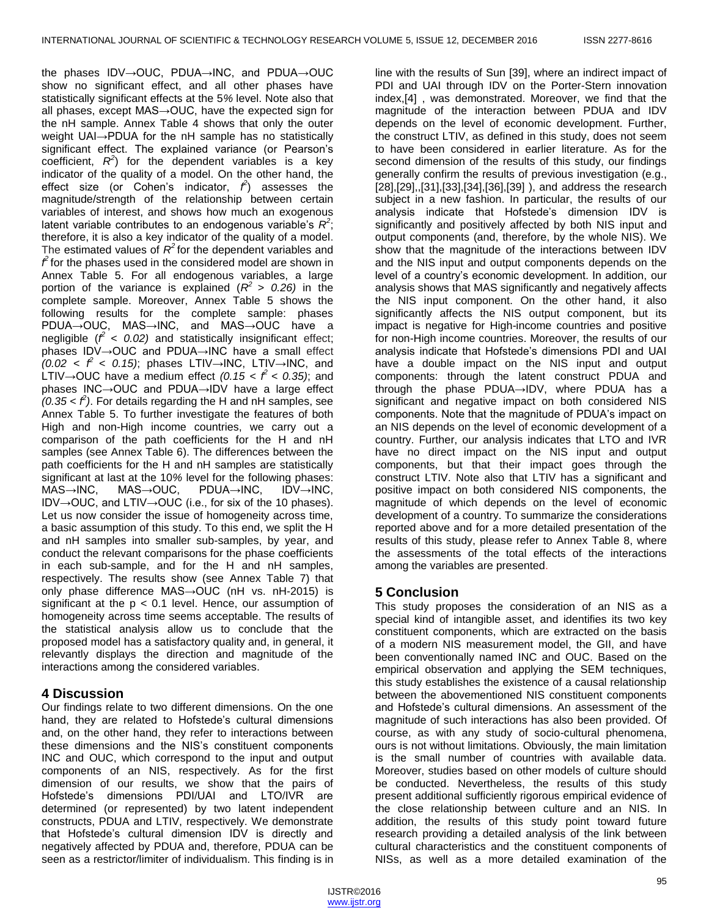the phases IDV→OUC, PDUA→INC, and PDUA→OUC show no significant effect, and all other phases have statistically significant effects at the 5*%* level. Note also that all phases, except MAS→OUC, have the expected sign for the nH sample. Annex Table 4 shows that only the outer weight UAI→PDUA for the nH sample has no statistically significant effect. The explained variance (or Pearson's coefficient,  $R^2$ ) for the dependent variables is a key indicator of the quality of a model. On the other hand, the effect size (or Cohen's indicator,  $\hat{f}$ ) assesses the magnitude/strength of the relationship between certain variables of interest, and shows how much an exogenous latent variable contributes to an endogenous variable's  $R^2$ ; therefore, it is also a key indicator of the quality of a model. The estimated values of  $R^2$  for the dependent variables and  $f$  for the phases used in the considered model are shown in Annex Table 5. For all endogenous variables, a large portion of the variance is explained  $(R^2 > 0.26)$  in the complete sample. Moreover, Annex Table 5 shows the following results for the complete sample: phases PDUA→OUC, MAS→INC, and MAS→OUC have a negligible (*f <sup>2</sup>< 0.02)* and statistically insignificant effect; phases IDV→OUC and PDUA→INC have a small effect  $(0.02 < \hat{f} < 0.15)$ ; phases LTIV→INC, LTIV→INC, and LTIV→OUC have a medium effect  $(0.15 < \hat{f} < 0.35)$ ; and phases INC→OUC and PDUA→IDV have a large effect  $(0.35 < f^2)$ . For details regarding the H and nH samples, see Annex Table 5. To further investigate the features of both High and non-High income countries, we carry out a comparison of the path coefficients for the H and nH samples (see Annex Table 6). The differences between the path coefficients for the H and nH samples are statistically significant at last at the 10*%* level for the following phases: MAS→INC, MAS→OUC, PDUA→INC, IDV→INC, IDV→OUC, and LTIV→OUC (i.e., for six of the 10 phases). Let us now consider the issue of homogeneity across time, a basic assumption of this study. To this end, we split the H and nH samples into smaller sub-samples, by year, and conduct the relevant comparisons for the phase coefficients in each sub-sample, and for the H and nH samples, respectively. The results show (see Annex Table 7) that only phase difference MAS→OUC (nH vs. nH-2015) is significant at the  $p < 0.1$  level. Hence, our assumption of homogeneity across time seems acceptable. The results of the statistical analysis allow us to conclude that the proposed model has a satisfactory quality and, in general, it relevantly displays the direction and magnitude of the interactions among the considered variables.

# **4 Discussion**

Our findings relate to two different dimensions. On the one hand, they are related to Hofstede's cultural dimensions and, on the other hand, they refer to interactions between these dimensions and the NIS's constituent components INC and OUC, which correspond to the input and output components of an NIS, respectively. As for the first dimension of our results, we show that the pairs of Hofstede's dimensions PDI/UAI and LTO/IVR are determined (or represented) by two latent independent constructs, PDUA and LTIV, respectively. We demonstrate that Hofstede's cultural dimension IDV is directly and negatively affected by PDUA and, therefore, PDUA can be seen as a restrictor/limiter of individualism. This finding is in

line with the results of Sun [39], where an indirect impact of PDI and UAI through IDV on the Porter-Stern innovation index,[4] , was demonstrated. Moreover, we find that the magnitude of the interaction between PDUA and IDV depends on the level of economic development. Further, the construct LTIV, as defined in this study, does not seem to have been considered in earlier literature. As for the second dimension of the results of this study, our findings generally confirm the results of previous investigation (e.g., [28],[29],,[31],[33],[34],[36],[39] ), and address the research subject in a new fashion. In particular, the results of our analysis indicate that Hofstede's dimension IDV is significantly and positively affected by both NIS input and output components (and, therefore, by the whole NIS). We show that the magnitude of the interactions between IDV and the NIS input and output components depends on the level of a country's economic development. In addition, our analysis shows that MAS significantly and negatively affects the NIS input component. On the other hand, it also significantly affects the NIS output component, but its impact is negative for High-income countries and positive for non-High income countries. Moreover, the results of our analysis indicate that Hofstede's dimensions PDI and UAI have a double impact on the NIS input and output components: through the latent construct PDUA and through the phase PDUA→IDV, where PDUA has a significant and negative impact on both considered NIS components. Note that the magnitude of PDUA's impact on an NIS depends on the level of economic development of a country. Further, our analysis indicates that LTO and IVR have no direct impact on the NIS input and output components, but that their impact goes through the construct LTIV. Note also that LTIV has a significant and positive impact on both considered NIS components, the magnitude of which depends on the level of economic development of a country. To summarize the considerations reported above and for a more detailed presentation of the results of this study, please refer to Annex Table 8, where the assessments of the total effects of the interactions among the variables are presented.

# **5 Conclusion**

This study proposes the consideration of an NIS as a special kind of intangible asset, and identifies its two key constituent components, which are extracted on the basis of a modern NIS measurement model, the GII, and have been conventionally named INC and OUC. Based on the empirical observation and applying the SEM techniques, this study establishes the existence of a causal relationship between the abovementioned NIS constituent components and Hofstede's cultural dimensions. An assessment of the magnitude of such interactions has also been provided. Of course, as with any study of socio-cultural phenomena, ours is not without limitations. Obviously, the main limitation is the small number of countries with available data. Moreover, studies based on other models of culture should be conducted. Nevertheless, the results of this study present additional sufficiently rigorous empirical evidence of the close relationship between culture and an NIS. In addition, the results of this study point toward future research providing a detailed analysis of the link between cultural characteristics and the constituent components of NISs, as well as a more detailed examination of the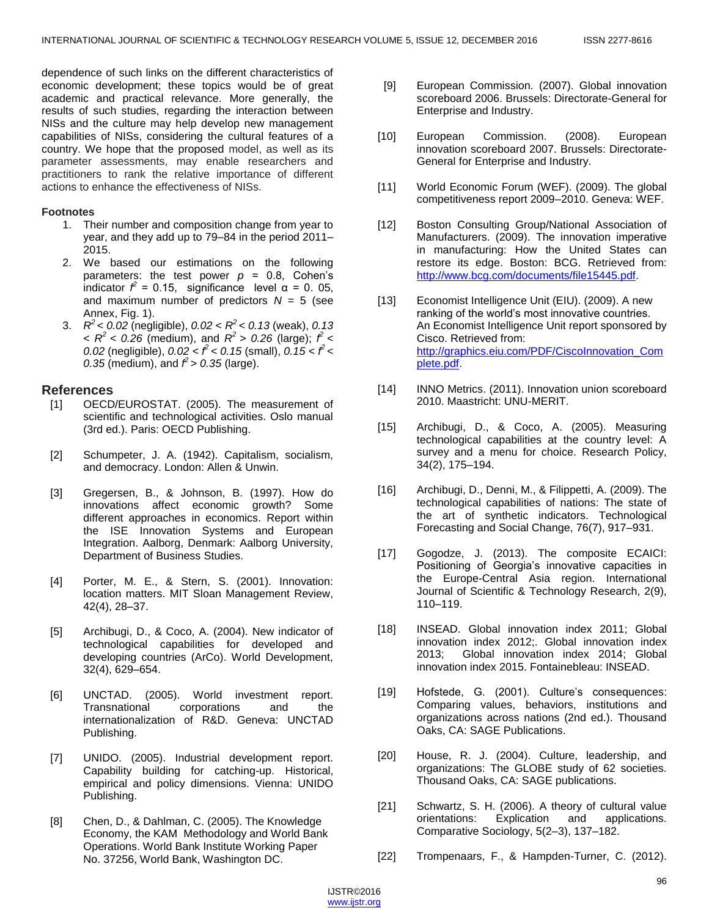dependence of such links on the different characteristics of economic development; these topics would be of great academic and practical relevance. More generally, the results of such studies, regarding the interaction between NISs and the culture may help develop new management capabilities of NISs, considering the cultural features of a country. We hope that the proposed model, as well as its parameter assessments, may enable researchers and practitioners to rank the relative importance of different actions to enhance the effectiveness of NISs.

#### **Footnotes**

- 1. Their number and composition change from year to year, and they add up to 79–84 in the period 2011– 2015.
- 2. We based our estimations on the following parameters: the test power  $p = 0.8$ , Cohen's indicator  $f^2 = 0.15$ , significance level α = 0.05, and maximum number of predictors  $N = 5$  (see Annex, Fig. 1).
- 3. *R <sup>2</sup>*< *0.02* (negligible), *0.02* < *R <sup>2</sup>*< *0.13* (weak), *0.13*  $26 \times R^2$  < 0.26 (medium), and  $R^2$  > 0.26 (large);  $\hat{f}$  < *0.02* (negligible), *0.02 < f<sup>2</sup>< 0.15* (small), *0.15 < f <sup>2</sup><*  0.35 (medium), and  $\hat{f} > 0.35$  (large).

#### **References**

- [1] OECD/EUROSTAT. (2005). The measurement of scientific and technological activities. Oslo manual (3rd ed.). Paris: OECD Publishing.
- [2] Schumpeter, J. A. (1942). Capitalism, socialism, and democracy. London: Allen & Unwin.
- [3] Gregersen, B., & Johnson, B. (1997). How do innovations affect economic growth? Some different approaches in economics. Report within the ISE Innovation Systems and European Integration. Aalborg, Denmark: Aalborg University, Department of Business Studies.
- [4] Porter, M. E., & Stern, S. (2001). Innovation: location matters. MIT Sloan Management Review, 42(4), 28–37.
- [5] Archibugi, D., & Coco, A. (2004). New indicator of technological capabilities for developed and developing countries (ArCo). World Development, 32(4), 629–654.
- [6] UNCTAD. (2005). World investment report. Transnational corporations and the internationalization of R&D. Geneva: UNCTAD Publishing.
- [7] UNIDO. (2005). Industrial development report. Capability building for catching-up. Historical, empirical and policy dimensions. Vienna: UNIDO Publishing.
- [8] Chen, D., & Dahlman, C. (2005). The Knowledge Economy, the KAM Methodology and World Bank Operations. World Bank Institute Working Paper No. 37256, World Bank, Washington DC.
- [9] European Commission. (2007). Global innovation scoreboard 2006. Brussels: Directorate-General for Enterprise and Industry.
- [10] European Commission. (2008). European innovation scoreboard 2007. Brussels: Directorate-General for Enterprise and Industry.
- [11] World Economic Forum (WEF). (2009). The global competitiveness report 2009–2010. Geneva: WEF.
- [12] Boston Consulting Group/National Association of Manufacturers. (2009). The innovation imperative in manufacturing: How the United States can restore its edge. Boston: BCG. Retrieved from: [http://www.bcg.com/documents/file15445.pdf.](http://www.bcg.com/documents/file15445.pdf)
- [13] Economist Intelligence Unit (EIU). (2009). A new ranking of the world's most innovative countries. An Economist Intelligence Unit report sponsored by Cisco. Retrieved from: [http://graphics.eiu.com/PDF/CiscoInnovation\\_Com](http://graphics.eiu.com/PDF/CiscoInnovation_Complete.pdf) [plete.pdf.](http://graphics.eiu.com/PDF/CiscoInnovation_Complete.pdf)
- [14] INNO Metrics. (2011). Innovation union scoreboard 2010. Maastricht: UNU-MERIT.
- [15] Archibugi, D., & Coco, A. (2005). Measuring technological capabilities at the country level: A survey and a menu for choice. Research Policy, 34(2), 175–194.
- [16] Archibugi, D., Denni, M., & Filippetti, A. (2009). The technological capabilities of nations: The state of the art of synthetic indicators. Technological Forecasting and Social Change, 76(7), 917–931.
- [17] Gogodze, J. (2013). The composite ECAICI: Positioning of Georgia's innovative capacities in the Europe-Central Asia region. International Journal of Scientific & Technology Research, 2(9), 110–119.
- [18] INSEAD. Global innovation index 2011; Global innovation index 2012;. Global innovation index 2013; Global innovation index 2014; Global innovation index 2015. Fontainebleau: INSEAD.
- [19] Hofstede, G. (2001). Culture's consequences: Comparing values, behaviors, institutions and organizations across nations (2nd ed.). Thousand Oaks, CA: SAGE Publications.
- [20] House, R. J. (2004). Culture, leadership, and organizations: The GLOBE study of 62 societies. Thousand Oaks, CA: SAGE publications.
- [21] Schwartz, S. H. (2006). A theory of cultural value orientations: Explication and applications. Comparative Sociology, 5(2–3), 137–182.
- [22] Trompenaars, F., & Hampden-Turner, C. (2012).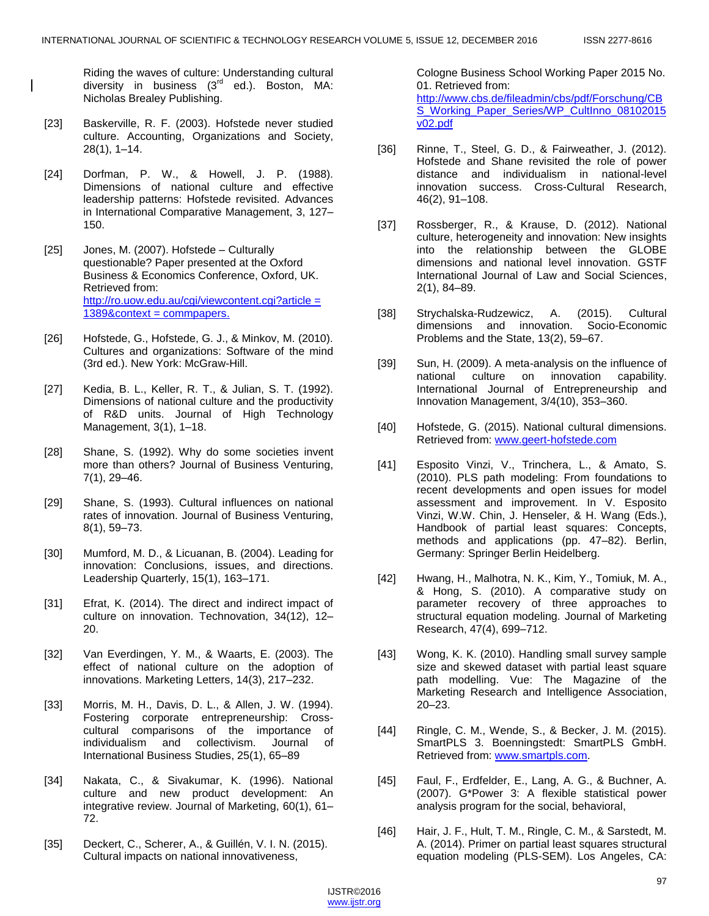Riding the waves of culture: Understanding cultural diversity in business (3<sup>rd</sup> ed.). Boston, MA: Nicholas Brealey Publishing.

- [23] Baskerville, R. F. (2003). Hofstede never studied culture. Accounting, Organizations and Society, 28(1), 1–14.
- [24] Dorfman, P. W., & Howell, J. P. (1988). Dimensions of national culture and effective leadership patterns: Hofstede revisited. Advances in International Comparative Management, 3, 127– 150.
- [25] Jones, M. (2007). Hofstede Culturally questionable? Paper presented at the Oxford Business & Economics Conference, Oxford, UK. Retrieved from: http://ro.uow.edu.au/cgi/viewcontent.cgi?article = [1389&context = commpapers.](http://ro.uow.edu.au/cgi/viewcontent.cgi?article=1389&context=commpapers)
- [26] Hofstede, G., Hofstede, G. J., & Minkov, M. (2010). Cultures and organizations: Software of the mind (3rd ed.). New York: McGraw-Hill.
- [27] Kedia, B. L., Keller, R. T., & Julian, S. T. (1992). Dimensions of national culture and the productivity of R&D units. Journal of High Technology Management, 3(1), 1–18.
- [28] Shane, S. (1992). Why do some societies invent more than others? Journal of Business Venturing, 7(1), 29–46.
- [29] Shane, S. (1993). Cultural influences on national rates of innovation. Journal of Business Venturing, 8(1), 59–73.
- [30] Mumford, M. D., & Licuanan, B. (2004). Leading for innovation: Conclusions, issues, and directions. Leadership Quarterly, 15(1), 163–171.
- [31] Efrat, K. (2014). The direct and indirect impact of culture on innovation. Technovation, 34(12), 12– 20.
- [32] Van Everdingen, Y. M., & Waarts, E. (2003). The effect of national culture on the adoption of innovations. Marketing Letters, 14(3), 217–232.
- [33] Morris, M. H., Davis, D. L., & Allen, J. W. (1994). Fostering corporate entrepreneurship: Crosscultural comparisons of the importance of individualism and collectivism. Journal of International Business Studies, 25(1), 65–89
- [34] Nakata, C., & Sivakumar, K. (1996). National culture and new product development: An integrative review. Journal of Marketing, 60(1), 61– 72.
- [35] Deckert, C., Scherer, A., & Guillén, V. I. N. (2015). Cultural impacts on national innovativeness,

Cologne Business School Working Paper 2015 No. 01. Retrieved from: [http://www.cbs.de/fileadmin/cbs/pdf/Forschung/CB](http://www.cbs.de/fileadmin/cbs/pdf/Forschung/CBS_Working_Paper_Series/WP_CultInno_08102015v02.pdf) [S\\_Working\\_Paper\\_Series/WP\\_CultInno\\_08102015](http://www.cbs.de/fileadmin/cbs/pdf/Forschung/CBS_Working_Paper_Series/WP_CultInno_08102015v02.pdf) [v02.pdf](http://www.cbs.de/fileadmin/cbs/pdf/Forschung/CBS_Working_Paper_Series/WP_CultInno_08102015v02.pdf)

- [36] Rinne, T., Steel, G. D., & Fairweather, J. (2012). Hofstede and Shane revisited the role of power distance and individualism in national-level innovation success. Cross-Cultural Research, 46(2), 91–108.
- [37] Rossberger, R., & Krause, D. (2012). National culture, heterogeneity and innovation: New insights into the relationship between the GLOBE dimensions and national level innovation. GSTF International Journal of Law and Social Sciences, 2(1), 84–89.
- [38] Strychalska-Rudzewicz, A. (2015). Cultural dimensions and innovation. Socio-Economic Problems and the State, 13(2), 59–67.
- [39] Sun, H. (2009). A meta-analysis on the influence of national culture on innovation capability. International Journal of Entrepreneurship and Innovation Management, 3/4(10), 353–360.
- [40] Hofstede, G. (2015). National cultural dimensions. Retrieved from: [www.geert-hofstede.com](http://www.geert-hofstede.com/)
- [41] Esposito Vinzi, V., Trinchera, L., & Amato, S. (2010). PLS path modeling: From foundations to recent developments and open issues for model assessment and improvement. In V. Esposito Vinzi, W.W. Chin, J. Henseler, & H. Wang (Eds.), Handbook of partial least squares: Concepts, methods and applications (pp. 47–82). Berlin, Germany: Springer Berlin Heidelberg.
- [42] Hwang, H., Malhotra, N. K., Kim, Y., Tomiuk, M. A., & Hong, S. (2010). A comparative study on parameter recovery of three approaches to structural equation modeling. Journal of Marketing Research, 47(4), 699–712.
- [43] Wong, K. K. (2010). Handling small survey sample size and skewed dataset with partial least square path modelling. Vue: The Magazine of the Marketing Research and Intelligence Association, 20–23.
- [44] Ringle, C. M., Wende, S., & Becker, J. M. (2015). SmartPLS 3. Boenningstedt: SmartPLS GmbH. Retrieved from: [www.smartpls.com.](http://www.smartpls.com/)
- [45] Faul, F., Erdfelder, E., Lang, A. G., & Buchner, A. (2007). G\*Power 3: A flexible statistical power analysis program for the social, behavioral,
- [46] Hair, J. F., Hult, T. M., Ringle, C. M., & Sarstedt, M. A. (2014). Primer on partial least squares structural equation modeling (PLS-SEM). Los Angeles, CA:

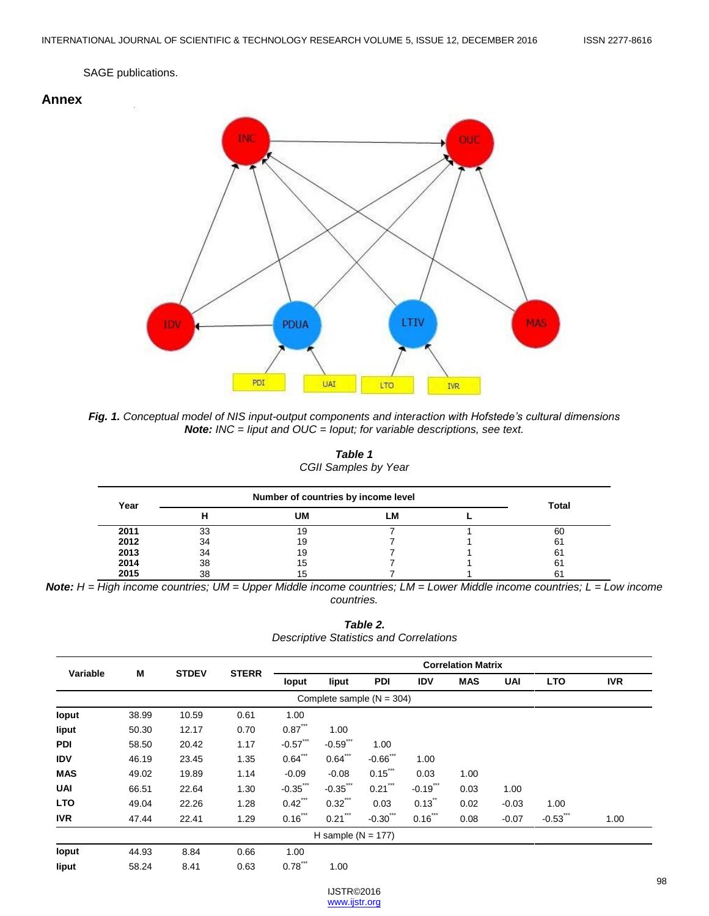#### SAGE publications.





*Fig. 1. Conceptual model of NIS input-output components and interaction with Hofstede's cultural dimensions Note: INC = Iiput and OUC = Ioput; for variable descriptions, see text.*

| Table 1              |  |
|----------------------|--|
| CGII Samples by Year |  |

| Year | Number of countries by income level | <b>Total</b> |    |  |    |
|------|-------------------------------------|--------------|----|--|----|
|      |                                     | UM           | ∟M |  |    |
| 2011 | 33                                  | 19           |    |  | 60 |
| 2012 | 34                                  | 19           |    |  | 61 |
| 2013 | 34                                  | 19           |    |  | 61 |
| 2014 | 38                                  | 15           |    |  | 61 |
| 2015 | 38                                  | 15           |    |  |    |

*Note: H = High income countries; UM = Upper Middle income countries; LM = Lower Middle income countries; L = Low income countries.*

*Table 2. Descriptive Statistics and Correlations*

| Variable                    | M     | <b>STDEV</b> | <b>STERR</b> | <b>Correlation Matrix</b> |                      |                       |             |            |            |             |            |
|-----------------------------|-------|--------------|--------------|---------------------------|----------------------|-----------------------|-------------|------------|------------|-------------|------------|
|                             |       |              |              | loput                     | liput                | <b>PDI</b>            | <b>IDV</b>  | <b>MAS</b> | <b>UAI</b> | <b>LTO</b>  | <b>IVR</b> |
| Complete sample $(N = 304)$ |       |              |              |                           |                      |                       |             |            |            |             |            |
| loput                       | 38.99 | 10.59        | 0.61         | 1.00                      |                      |                       |             |            |            |             |            |
| liput                       | 50.30 | 12.17        | 0.70         | $0.87$ ***                | 1.00                 |                       |             |            |            |             |            |
| <b>PDI</b>                  | 58.50 | 20.42        | 1.17         | $-0.57$ ***               | $-0.59$ ***          | 1.00                  |             |            |            |             |            |
| <b>IDV</b>                  | 46.19 | 23.45        | 1.35         | $0.64$ ***                | $0.64$ ***           | $-0.66$ ***           | 1.00        |            |            |             |            |
| <b>MAS</b>                  | 49.02 | 19.89        | 1.14         | $-0.09$                   | $-0.08$              | $0.15$ ***            | 0.03        | 1.00       |            |             |            |
| <b>UAI</b>                  | 66.51 | 22.64        | 1.30         | $-0.35$ ***               | $-0.35$ ***          | $0.21$ <sup>***</sup> | $-0.19$ *** | 0.03       | 1.00       |             |            |
| <b>LTO</b>                  | 49.04 | 22.26        | 1.28         | $0.42$ ***                | $0.32$ ***           | 0.03                  | 0.13        | 0.02       | $-0.03$    | 1.00        |            |
| <b>IVR</b>                  | 47.44 | 22.41        | 1.29         | $0.16$ ***                | $0.21$ ***           | $-0.30$ ***           | $0.16$ ***  | 0.08       | $-0.07$    | $-0.53$ *** | 1.00       |
|                             |       |              |              |                           | H sample $(N = 177)$ |                       |             |            |            |             |            |
| loput                       | 44.93 | 8.84         | 0.66         | 1.00                      |                      |                       |             |            |            |             |            |
| liput                       | 58.24 | 8.41         | 0.63         | 0.78                      | 1.00                 |                       |             |            |            |             |            |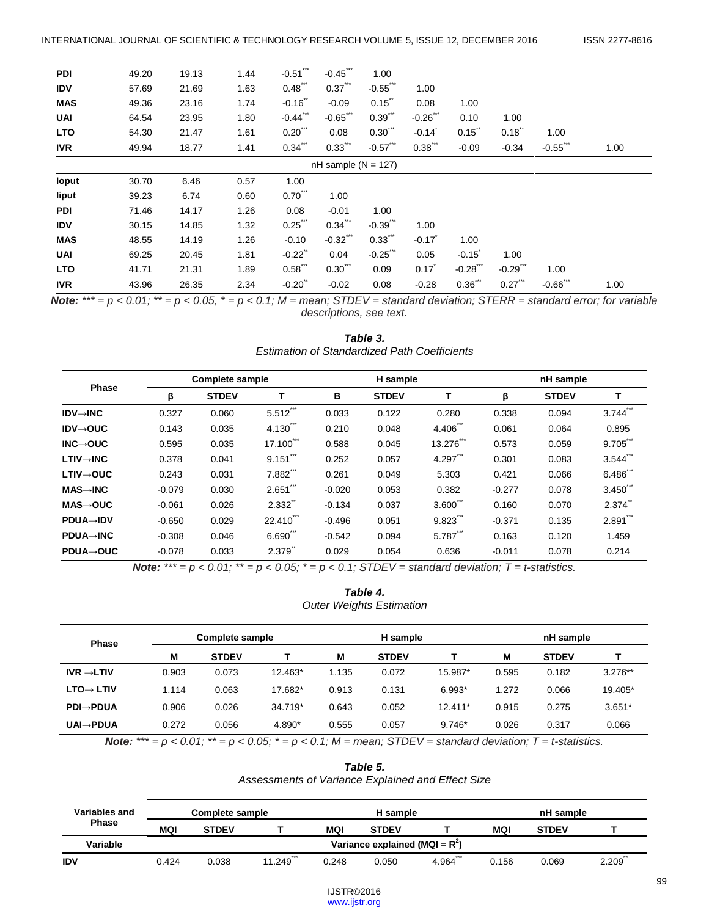| <b>PDI</b>            | 49.20 | 19.13 | 1.44 | $-0.51$    | $-0.45$     | 1.00                  |            |                      |            |             |      |
|-----------------------|-------|-------|------|------------|-------------|-----------------------|------------|----------------------|------------|-------------|------|
| <b>IDV</b>            | 57.69 | 21.69 | 1.63 | $0.48$ *** | $0.37$ ***  | $-0.55$ ***           | 1.00       |                      |            |             |      |
| <b>MAS</b>            | 49.36 | 23.16 | 1.74 | $-0.16$    | $-0.09$     | 0.15                  | 0.08       | 1.00                 |            |             |      |
| <b>UAI</b>            | 64.54 | 23.95 | 1.80 | $-0.44$    | $-0.65$     | 0.39                  | $-0.26$    | 0.10                 | 1.00       |             |      |
| <b>LTO</b>            | 54.30 | 21.47 | 1.61 | $0.20$ *** | 0.08        | $0.30$ <sup>***</sup> | $-0.14$    | 0.15                 | 0.18       | 1.00        |      |
| <b>IVR</b>            | 49.94 | 18.77 | 1.41 | $0.34$ *** | $0.33$ ***  | $-0.57$ ***           | $0.38$ *** | $-0.09$              | $-0.34$    | $-0.55$ *** | 1.00 |
| $nH$ sample (N = 127) |       |       |      |            |             |                       |            |                      |            |             |      |
| loput                 | 30.70 | 6.46  | 0.57 | 1.00       |             |                       |            |                      |            |             |      |
| liput                 | 39.23 | 6.74  | 0.60 | $0.70$ **  | 1.00        |                       |            |                      |            |             |      |
| <b>PDI</b>            | 71.46 | 14.17 | 1.26 | 0.08       | $-0.01$     | 1.00                  |            |                      |            |             |      |
| <b>IDV</b>            | 30.15 | 14.85 | 1.32 | $0.25$ **  | $0.34$ **   | $-0.39$               | 1.00       |                      |            |             |      |
| <b>MAS</b>            | 48.55 | 14.19 | 1.26 | $-0.10$    | $-0.32$ *** | $0.33$ **             | $-0.17$    | 1.00                 |            |             |      |
| <b>UAI</b>            | 69.25 | 20.45 | 1.81 | $-0.22$    | 0.04        | $-0.25$ ***           | 0.05       | $-0.15$ <sup>*</sup> | 1.00       |             |      |
| <b>LTO</b>            | 41.71 | 21.31 | 1.89 | $0.58$ *** | $0.30$ ***  | 0.09                  | 0.17       | $-0.28$ ***          | $-0.29$ ** | 1.00        |      |
| <b>IVR</b>            | 43.96 | 26.35 | 2.34 | $-0.20$ "  | $-0.02$     | 0.08                  | $-0.28$    | $0.36$ **            | $0.27$ *** | $-0.66$ *** | 1.00 |

*Note:*  $*** = p < 0.01$ ;  $** = p < 0.05$ ,  $* = p < 0.1$ ; M = mean; STDEV = standard deviation; STERR = standard error; for variable *descriptions, see text.*

| Table 3.                                            |
|-----------------------------------------------------|
| <b>Estimation of Standardized Path Coefficients</b> |

| <b>Phase</b>           |          | <b>Complete sample</b> |                    |          | H sample     |         |          | nH sample    |                      |  |
|------------------------|----------|------------------------|--------------------|----------|--------------|---------|----------|--------------|----------------------|--|
|                        | β        | <b>STDEV</b>           |                    | в        | <b>STDEV</b> | т       | β        | <b>STDEV</b> |                      |  |
| $IDV \rightarrow INC$  | 0.327    | 0.060                  | ***<br>5.512       | 0.033    | 0.122        | 0.280   | 0.338    | 0.094        | 3.744                |  |
| $IDV \rightarrow OUC$  | 0.143    | 0.035                  | 4.130              | 0.210    | 0.048        | 4.406   | 0.061    | 0.064        | 0.895                |  |
| $INC \rightarrow OUC$  | 0.595    | 0.035                  | $17.100^{\degree}$ | 0.588    | 0.045        | 13.276  | 0.573    | 0.059        | 9.705                |  |
| $LTIV \rightarrow INC$ | 0.378    | 0.041                  | 9.151              | 0.252    | 0.057        | 4.297   | 0.301    | 0.083        | 3.544                |  |
| $LTIV \rightarrow OUC$ | 0.243    | 0.031                  | $7.882^{n}$        | 0.261    | 0.049        | 5.303   | 0.421    | 0.066        | $6.486^{n}$          |  |
| $MAS \rightarrow INC$  | $-0.079$ | 0.030                  | 2.651              | $-0.020$ | 0.053        | 0.382   | $-0.277$ | 0.078        | $3.450$ <sup>"</sup> |  |
| $MAS \rightarrow OUC$  | $-0.061$ | 0.026                  | 2.332"             | $-0.134$ | 0.037        | 3.600   | 0.160    | 0.070        | $2.374$ <sup>"</sup> |  |
| <b>PDUA→IDV</b>        | $-0.650$ | 0.029                  | 22.410***          | $-0.496$ | 0.051        | $9.823$ | $-0.371$ | 0.135        | $2.891$ <sup>"</sup> |  |
| <b>PDUA→INC</b>        | $-0.308$ | 0.046                  | $6.690^{\degree}$  | $-0.542$ | 0.094        | 5.787   | 0.163    | 0.120        | 1.459                |  |
| <b>PDUA→OUC</b>        | $-0.078$ | 0.033                  | 2.379              | 0.029    | 0.054        | 0.636   | $-0.011$ | 0.078        | 0.214                |  |

*Note:*  $*** = p < 0.01$ ;  $** = p < 0.05$ ;  $* = p < 0.1$ ; STDEV = standard deviation; T = t-statistics.

| Table 4.                        |  |
|---------------------------------|--|
| <b>Outer Weights Estimation</b> |  |

| <b>Phase</b>           | <b>Complete sample</b> |              |           |       | H sample     |           |       | nH sample    |           |  |
|------------------------|------------------------|--------------|-----------|-------|--------------|-----------|-------|--------------|-----------|--|
|                        | M                      | <b>STDEV</b> |           | M     | <b>STDEV</b> |           | м     | <b>STDEV</b> |           |  |
| $IVR \rightarrow LTIV$ | 0.903                  | 0.073        | $12.463*$ | 1.135 | 0.072        | 15.987*   | 0.595 | 0.182        | $3.276**$ |  |
| $LTO \rightarrow LTIV$ | 1.114                  | 0.063        | 17.682*   | 0.913 | 0.131        | $6.993*$  | 1.272 | 0.066        | 19.405*   |  |
| $PDI \rightarrow PDUA$ | 0.906                  | 0.026        | 34.719*   | 0.643 | 0.052        | $12.411*$ | 0.915 | 0.275        | $3.651*$  |  |
| <b>UAI→PDUA</b>        | 0.272                  | 0.056        | 4.890*    | 0.555 | 0.057        | $9.746*$  | 0.026 | 0.317        | 0.066     |  |

*Note:*  $*** = p < 0.01$ ;  $** = p < 0.05$ ;  $* = p < 0.1$ ; M = mean; STDEV = standard deviation; T = t-statistics.

*Table 5. Assessments of Variance Explained and Effect Size*

| Variables and | <b>Complete sample</b>            |              |           | <b>H</b> sample |              |              | nH sample  |              |       |
|---------------|-----------------------------------|--------------|-----------|-----------------|--------------|--------------|------------|--------------|-------|
| <b>Phase</b>  | MQI                               | <b>STDEV</b> |           | MQI             | <b>STDEV</b> |              | <b>MQI</b> | <b>STDEV</b> |       |
| Variable      | Variance explained (MQI = $R^2$ ) |              |           |                 |              |              |            |              |       |
| <b>IDV</b>    | 0.424                             | 0.038        | 11.249*** | 0.248           | 0.050        | ***<br>4.964 | 0.156      | 0.069        | 2.209 |

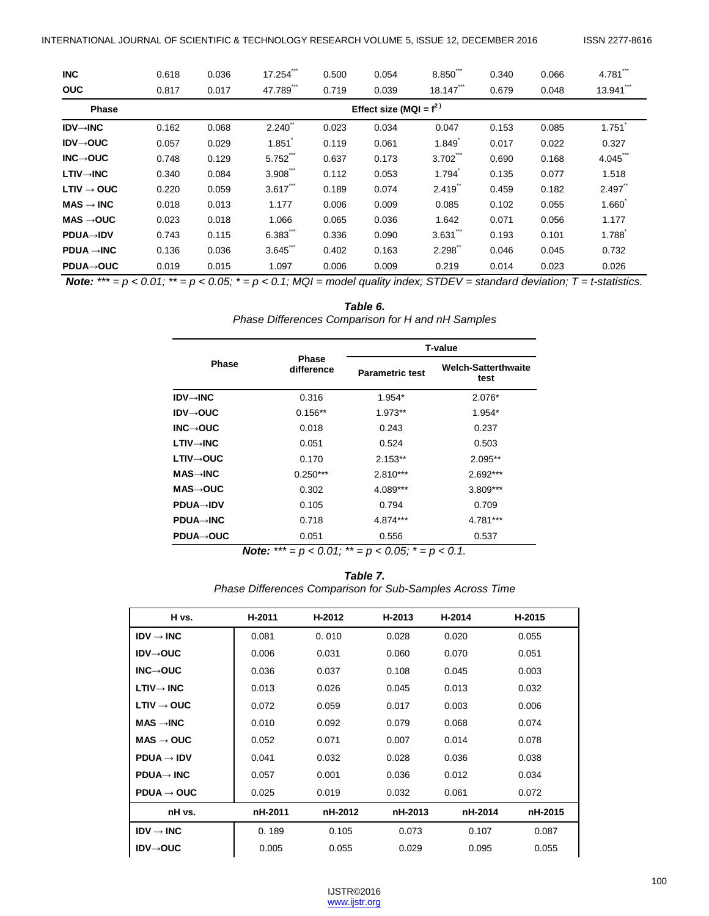| <b>INC</b>                   | 0.618 | 0.036                     | 17.254    | 0.500 | 0.054 | 8.850                 | 0.340 | 0.066 | 4.781                |  |  |  |
|------------------------------|-------|---------------------------|-----------|-------|-------|-----------------------|-------|-------|----------------------|--|--|--|
| <b>OUC</b>                   | 0.817 | 0.017                     | 47.789    | 0.719 | 0.039 | 18.147                | 0.679 | 0.048 | 13.941               |  |  |  |
| <b>Phase</b>                 |       | Effect size (MQI = $f2$ ) |           |       |       |                       |       |       |                      |  |  |  |
| $IDV \rightarrow INC$        | 0.162 | 0.068                     | $2.240$ " | 0.023 | 0.034 | 0.047                 | 0.153 | 0.085 | 1.751                |  |  |  |
| $IDV \rightarrow OUC$        | 0.057 | 0.029                     | 1.851     | 0.119 | 0.061 | 1.849                 | 0.017 | 0.022 | 0.327                |  |  |  |
| $INC \rightarrow OUC$        | 0.748 | 0.129                     | 5.752***  | 0.637 | 0.173 | $3.702$ "             | 0.690 | 0.168 | 4.045                |  |  |  |
| $LTIV \rightarrow INC$       | 0.340 | 0.084                     | $3.908$ . | 0.112 | 0.053 | 1.794                 | 0.135 | 0.077 | 1.518                |  |  |  |
| $LTIV \rightarrow OUC$       | 0.220 | 0.059                     | $3.617$ " | 0.189 | 0.074 | 2.419                 | 0.459 | 0.182 | $2.497$ <sup>"</sup> |  |  |  |
| $MAS \rightarrow \text{INC}$ | 0.018 | 0.013                     | 1.177     | 0.006 | 0.009 | 0.085                 | 0.102 | 0.055 | 1.660                |  |  |  |
| $MAS \rightarrow OUC$        | 0.023 | 0.018                     | 1.066     | 0.065 | 0.036 | 1.642                 | 0.071 | 0.056 | 1.177                |  |  |  |
| <b>PDUA→IDV</b>              | 0.743 | 0.115                     | 6.383     | 0.336 | 0.090 | $3.631$ <sup>""</sup> | 0.193 | 0.101 | 1.788                |  |  |  |
| $PDUA \rightarrow INC$       | 0.136 | 0.036                     | 3.645**   | 0.402 | 0.163 | 2.298                 | 0.046 | 0.045 | 0.732                |  |  |  |
| <b>PDUA→OUC</b>              | 0.019 | 0.015                     | 1.097     | 0.006 | 0.009 | 0.219                 | 0.014 | 0.023 | 0.026                |  |  |  |

*Note:*  $*** = p < 0.01$ ;  $** = p < 0.05$ ;  $* = p < 0.1$ ; MQI = model quality index; STDEV = standard deviation; T = t-statistics.

#### *Table 6.*

*Phase Differences Comparison for H and nH Samples*

|                       |                                    |                        | <b>T-value</b>                     |
|-----------------------|------------------------------------|------------------------|------------------------------------|
| <b>Phase</b>          | <b>Phase</b><br>difference         | <b>Parametric test</b> | <b>Welch-Satterthwaite</b><br>test |
| <b>IDV→INC</b>        | 0.316                              | 1.954*                 | 2.076*                             |
| IDV→OUC               | $0.156**$                          | 1.973**                | 1.954*                             |
| INC $\rightarrow$ OUC | 0.018                              | 0.243                  | 0.237                              |
| LTIV→INC              | 0.051                              | 0.524                  | 0.503                              |
| LTIV→OUC              | 0.170                              | $2.153**$              | $2.095**$                          |
| MAS→INC               | $0.250***$                         | $2.810***$             | 2.692***                           |
| MAS→OUC               | 0.302                              | 4.089***               | 3.809***                           |
| <b>PDUA→IDV</b>       | 0.105                              | 0.794                  | 0.709                              |
| <b>PDUA→INC</b>       | 0.718                              | 4.874***               | 4.781***                           |
| <b>PDUA→OUC</b>       | 0.051                              | 0.556                  | 0.537                              |
|                       | $1 - 1 - 1$<br>$+ + +$<br>$0.01 +$ | $\sim$ $\sim$ $\sim$   | $\sim$ $\sim$                      |

*Note: \*\*\* = p < 0.01; \*\* = p < 0.05; \* = p < 0.1.*

*Table 7. Phase Differences Comparison for Sub-Samples Across Time*

| H vs.                        | H-2011  | H-2012  | H-2013  | H-2014  | H-2015  |
|------------------------------|---------|---------|---------|---------|---------|
| $IDV \rightarrow INC$        | 0.081   | 0.010   | 0.028   | 0.020   | 0.055   |
| $IDV \rightarrow OUC$        | 0.006   | 0.031   | 0.060   | 0.070   | 0.051   |
| $INC \rightarrow OUC$        | 0.036   | 0.037   | 0.108   | 0.045   | 0.003   |
| $LTIV \rightarrow INC$       | 0.013   | 0.026   | 0.045   | 0.013   | 0.032   |
| $LTIV \rightarrow OUC$       | 0.072   | 0.059   | 0.017   | 0.003   | 0.006   |
| $MAS \rightarrow \text{INC}$ | 0.010   | 0.092   | 0.079   | 0.068   | 0.074   |
| $MAS \rightarrow OUC$        | 0.052   | 0.071   | 0.007   | 0.014   | 0.078   |
| $PDUA \rightarrow IDV$       | 0.041   | 0.032   | 0.028   | 0.036   | 0.038   |
| $PDUA \rightarrow INC$       | 0.057   | 0.001   | 0.036   | 0.012   | 0.034   |
| $PDUA \rightarrow OUC$       | 0.025   | 0.019   | 0.032   | 0.061   | 0.072   |
| nH vs.                       | nH-2011 | nH-2012 | nH-2013 | nH-2014 | nH-2015 |
| $IDV \rightarrow INC$        | 0.189   | 0.105   | 0.073   | 0.107   | 0.087   |
| $IDV \rightarrow OUC$        | 0.005   | 0.055   | 0.029   | 0.095   | 0.055   |